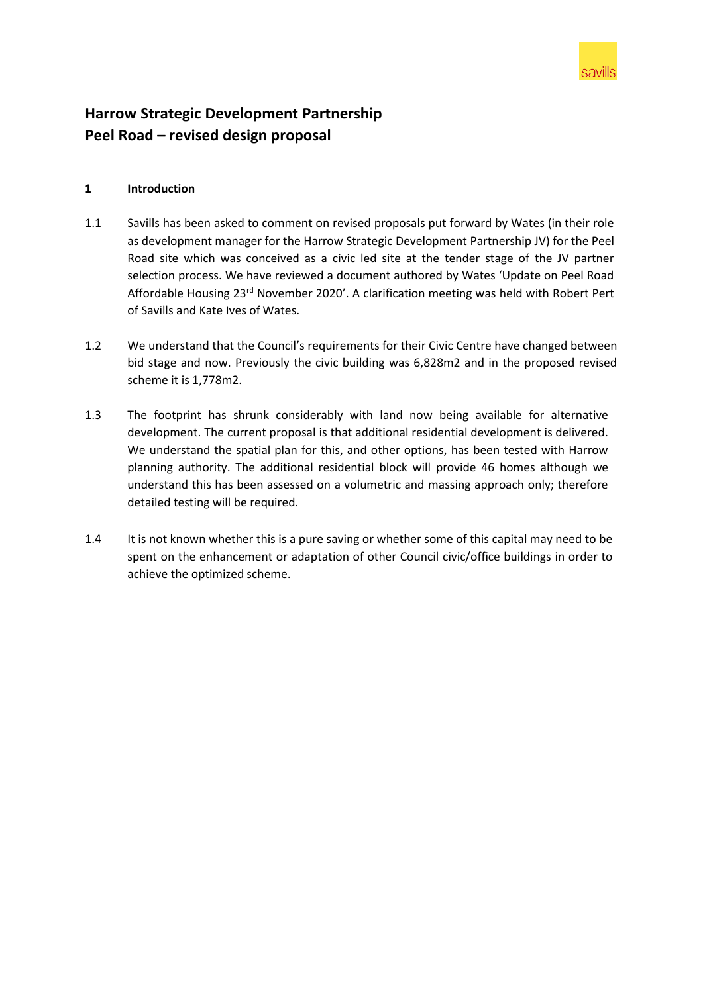

# **Harrow Strategic Development Partnership Peel Road – revised design proposal**

## **1 Introduction**

- 1.1 Savills has been asked to comment on revised proposals put forward by Wates (in their role as development manager for the Harrow Strategic Development Partnership JV) for the Peel Road site which was conceived as a civic led site at the tender stage of the JV partner selection process. We have reviewed a document authored by Wates 'Update on Peel Road Affordable Housing 23rd November 2020'. A clarification meeting was held with Robert Pert of Savills and Kate Ives of Wates.
- 1.2 We understand that the Council's requirements for their Civic Centre have changed between bid stage and now. Previously the civic building was 6,828m2 and in the proposed revised scheme it is 1,778m2.
- 1.3 The footprint has shrunk considerably with land now being available for alternative development. The current proposal is that additional residential development is delivered. We understand the spatial plan for this, and other options, has been tested with Harrow planning authority. The additional residential block will provide 46 homes although we understand this has been assessed on a volumetric and massing approach only; therefore detailed testing will be required.
- 1.4 It is not known whether this is a pure saving or whether some of this capital may need to be spent on the enhancement or adaptation of other Council civic/office buildings in order to achieve the optimized scheme.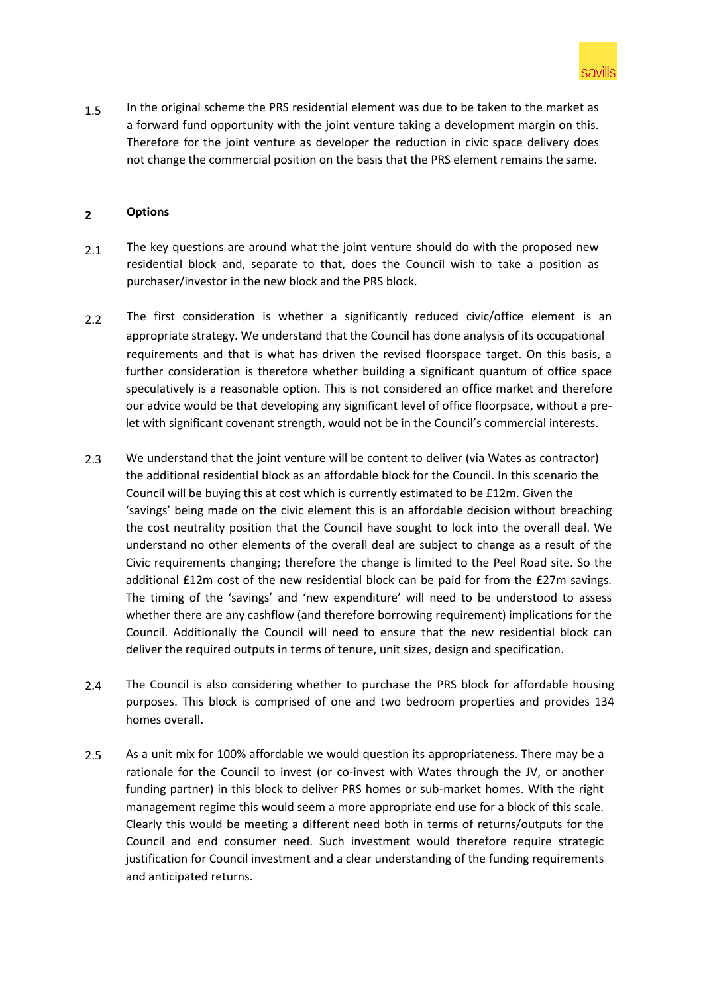

1.5 In the original scheme the PRS residential element was due to be taken to the market as a forward fund opportunity with the joint venture taking a development margin on this. Therefore for the joint venture as developer the reduction in civic space delivery does not change the commercial position on the basis that the PRS element remains the same.

#### **2 Options**

- 2.1 The key questions are around what the joint venture should do with the proposed new residential block and, separate to that, does the Council wish to take a position as purchaser/investor in the new block and the PRS block.
- 2.2 The first consideration is whether a significantly reduced civic/office element is an appropriate strategy. We understand that the Council has done analysis of its occupational requirements and that is what has driven the revised floorspace target. On this basis, a further consideration is therefore whether building a significant quantum of office space speculatively is a reasonable option. This is not considered an office market and therefore our advice would be that developing any significant level of office floorpsace, without a prelet with significant covenant strength, would not be in the Council's commercial interests.
- 2.3 We understand that the joint venture will be content to deliver (via Wates as contractor) the additional residential block as an affordable block for the Council. In this scenario the Council will be buying this at cost which is currently estimated to be £12m. Given the 'savings' being made on the civic element this is an affordable decision without breaching the cost neutrality position that the Council have sought to lock into the overall deal. We understand no other elements of the overall deal are subject to change as a result of the Civic requirements changing; therefore the change is limited to the Peel Road site. So the additional £12m cost of the new residential block can be paid for from the £27m savings. The timing of the 'savings' and 'new expenditure' will need to be understood to assess whether there are any cashflow (and therefore borrowing requirement) implications for the Council. Additionally the Council will need to ensure that the new residential block can deliver the required outputs in terms of tenure, unit sizes, design and specification.
- 2.4 The Council is also considering whether to purchase the PRS block for affordable housing purposes. This block is comprised of one and two bedroom properties and provides 134 homes overall.
- 2.5 As a unit mix for 100% affordable we would question its appropriateness. There may be a rationale for the Council to invest (or co-invest with Wates through the JV, or another funding partner) in this block to deliver PRS homes or sub-market homes. With the right management regime this would seem a more appropriate end use for a block of this scale. Clearly this would be meeting a different need both in terms of returns/outputs for the Council and end consumer need. Such investment would therefore require strategic justification for Council investment and a clear understanding of the funding requirements and anticipated returns.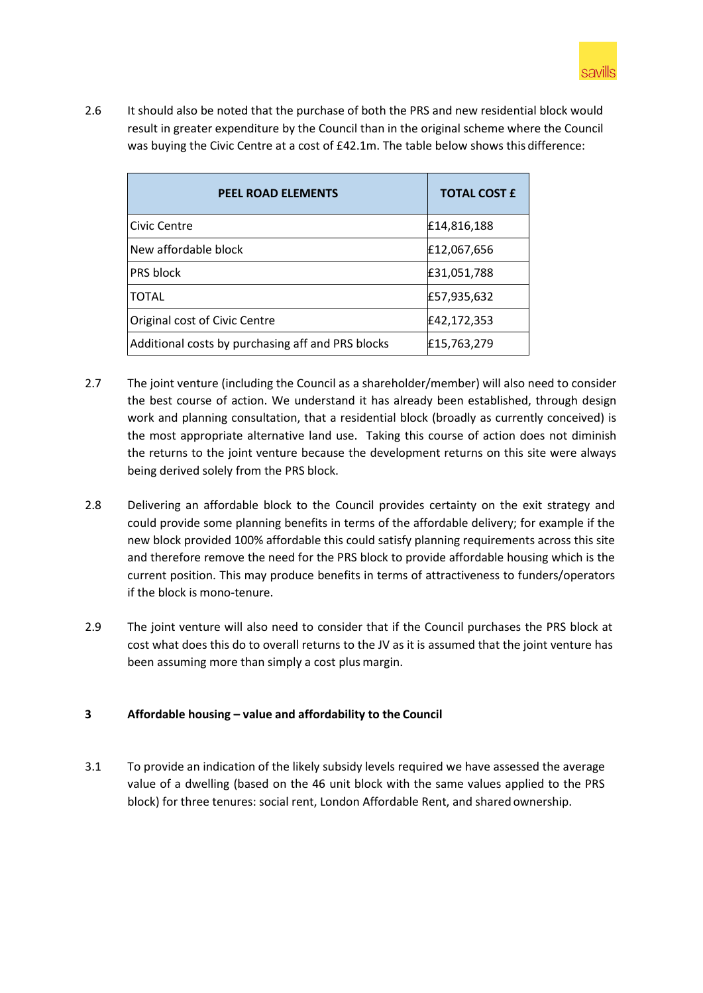

2.6 It should also be noted that the purchase of both the PRS and new residential block would result in greater expenditure by the Council than in the original scheme where the Council was buying the Civic Centre at a cost of £42.1m. The table below shows this difference:

| <b>PEEL ROAD ELEMENTS</b>                         | <b>TOTAL COST £</b> |
|---------------------------------------------------|---------------------|
| Civic Centre                                      | £14,816,188         |
| New affordable block                              | £12,067,656         |
| PRS block                                         | £31,051,788         |
| <b>TOTAL</b>                                      | £57,935,632         |
| Original cost of Civic Centre                     | £42,172,353         |
| Additional costs by purchasing aff and PRS blocks | £15,763,279         |

- 2.7 The joint venture (including the Council as a shareholder/member) will also need to consider the best course of action. We understand it has already been established, through design work and planning consultation, that a residential block (broadly as currently conceived) is the most appropriate alternative land use. Taking this course of action does not diminish the returns to the joint venture because the development returns on this site were always being derived solely from the PRS block.
- 2.8 Delivering an affordable block to the Council provides certainty on the exit strategy and could provide some planning benefits in terms of the affordable delivery; for example if the new block provided 100% affordable this could satisfy planning requirements across this site and therefore remove the need for the PRS block to provide affordable housing which is the current position. This may produce benefits in terms of attractiveness to funders/operators if the block is mono-tenure.
- 2.9 The joint venture will also need to consider that if the Council purchases the PRS block at cost what does this do to overall returns to the JV as it is assumed that the joint venture has been assuming more than simply a cost plus margin.

# **3 Affordable housing – value and affordability to the Council**

3.1 To provide an indication of the likely subsidy levels required we have assessed the average value of a dwelling (based on the 46 unit block with the same values applied to the PRS block) for three tenures: social rent, London Affordable Rent, and shared ownership.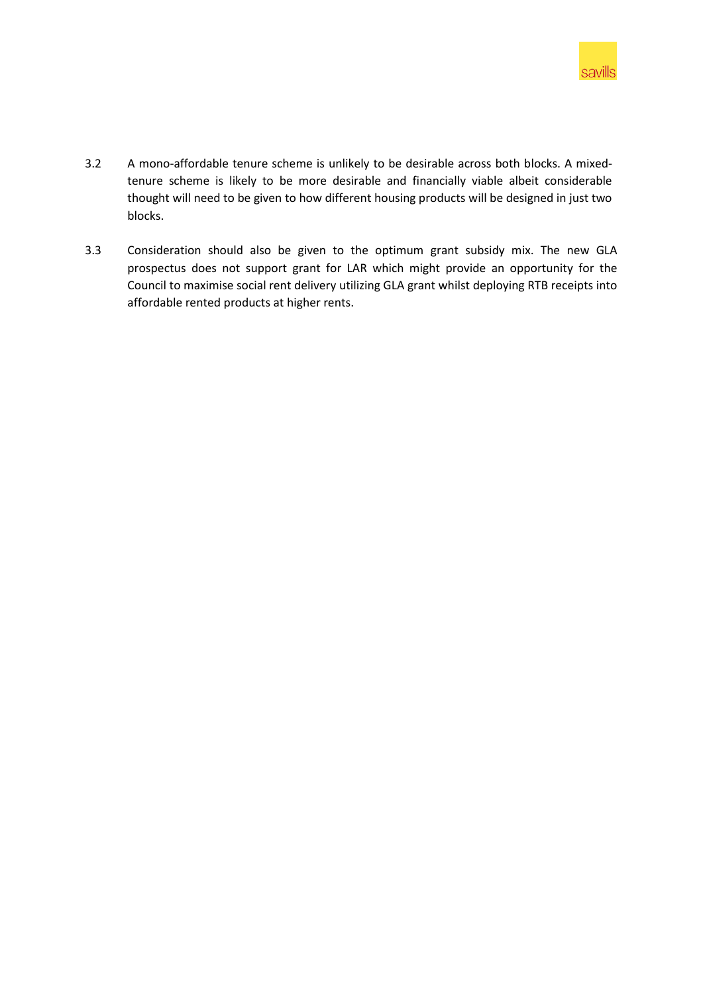

- 3.2 A mono-affordable tenure scheme is unlikely to be desirable across both blocks. A mixedtenure scheme is likely to be more desirable and financially viable albeit considerable thought will need to be given to how different housing products will be designed in just two blocks.
- 3.3 Consideration should also be given to the optimum grant subsidy mix. The new GLA prospectus does not support grant for LAR which might provide an opportunity for the Council to maximise social rent delivery utilizing GLA grant whilst deploying RTB receipts into affordable rented products at higher rents.